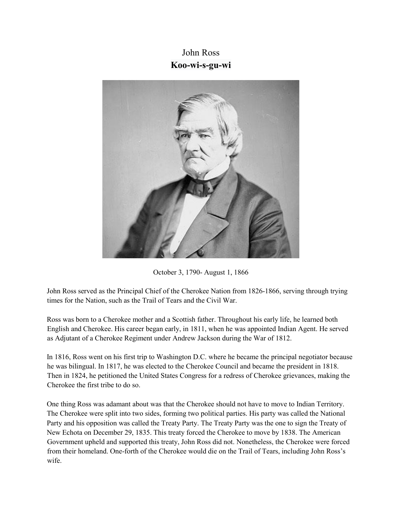## John Ross **Koo-wi-s-gu-wi**



October 3, 1790- August 1, 1866

John Ross served as the Principal Chief of the Cherokee Nation from 1826-1866, serving through trying times for the Nation, such as the Trail of Tears and the Civil War.

Ross was born to a Cherokee mother and a Scottish father. Throughout his early life, he learned both English and Cherokee. His career began early, in 1811, when he was appointed Indian Agent. He served as Adjutant of a Cherokee Regiment under Andrew Jackson during the War of 1812.

In 1816, Ross went on his first trip to Washington D.C. where he became the principal negotiator because he was bilingual. In 1817, he was elected to the Cherokee Council and became the president in 1818. Then in 1824, he petitioned the United States Congress for a redress of Cherokee grievances, making the Cherokee the first tribe to do so.

One thing Ross was adamant about was that the Cherokee should not have to move to Indian Territory. The Cherokee were split into two sides, forming two political parties. His party was called the National Party and his opposition was called the Treaty Party. The Treaty Party was the one to sign the Treaty of New Echota on December 29, 1835. This treaty forced the Cherokee to move by 1838. The American Government upheld and supported this treaty, John Ross did not. Nonetheless, the Cherokee were forced from their homeland. One-forth of the Cherokee would die on the Trail of Tears, including John Ross's wife.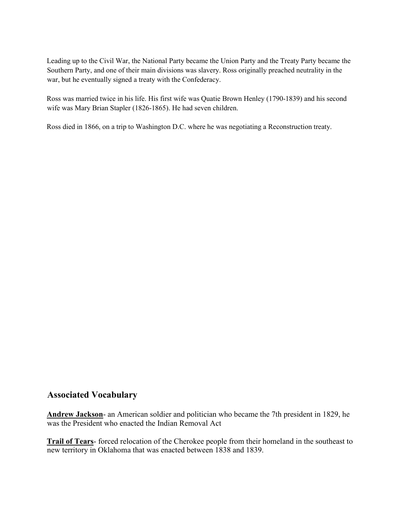Leading up to the Civil War, the National Party became the Union Party and the Treaty Party became the Southern Party, and one of their main divisions was slavery. Ross originally preached neutrality in the war, but he eventually signed a treaty with the Confederacy.

Ross was married twice in his life. His first wife was Quatie Brown Henley (1790-1839) and his second wife was Mary Brian Stapler (1826-1865). He had seven children.

Ross died in 1866, on a trip to Washington D.C. where he was negotiating a Reconstruction treaty.

## **Associated Vocabulary**

**Andrew Jackson**- an American soldier and politician who became the 7th president in 1829, he was the President who enacted the Indian Removal Act

**Trail of Tears**- forced relocation of the Cherokee people from their homeland in the southeast to new territory in Oklahoma that was enacted between 1838 and 1839.